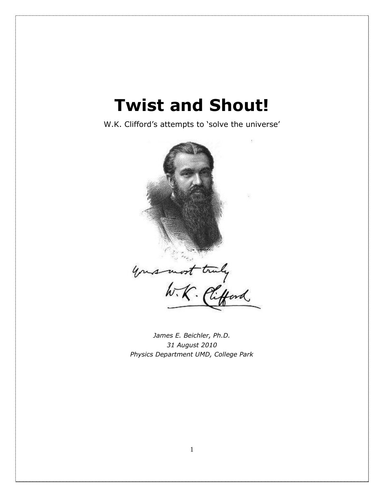W.K. Clifford's attempts to 'solve the universe'



*James E. Beichler, Ph.D. 31 August 2010 Physics Department UMD, College Park*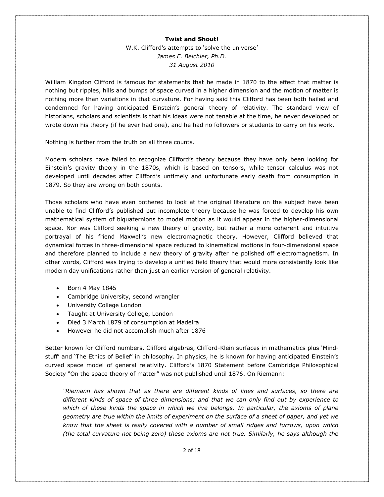W.K. Clifford's attempts to 'solve the universe' *James E. Beichler, Ph.D. 31 August 2010* 

William Kingdon Clifford is famous for statements that he made in 1870 to the effect that matter is nothing but ripples, hills and bumps of space curved in a higher dimension and the motion of matter is nothing more than variations in that curvature. For having said this Clifford has been both hailed and condemned for having anticipated Einstein's general theory of relativity. The standard view of historians, scholars and scientists is that his ideas were not tenable at the time, he never developed or wrote down his theory (if he ever had one), and he had no followers or students to carry on his work.

Nothing is further from the truth on all three counts.

Modern scholars have failed to recognize Clifford's theory because they have only been looking for Einstein's gravity theory in the 1870s, which is based on tensors, while tensor calculus was not developed until decades after Clifford's untimely and unfortunate early death from consumption in 1879. So they are wrong on both counts.

Those scholars who have even bothered to look at the original literature on the subject have been unable to find Clifford's published but incomplete theory because he was forced to develop his own mathematical system of biquaternions to model motion as it would appear in the higher-dimensional space. Nor was Clifford seeking a new theory of gravity, but rather a more coherent and intuitive portrayal of his friend Maxwell's new electromagnetic theory. However, Clifford believed that dynamical forces in three-dimensional space reduced to kinematical motions in four-dimensional space and therefore planned to include a new theory of gravity after he polished off electromagnetism. In other words, Clifford was trying to develop a unified field theory that would more consistently look like modern day unifications rather than just an earlier version of general relativity.

- $\bullet$  Born 4 May 1845
- Cambridge University, second wrangler
- University College London
- Taught at University College, London
- Died 3 March 1879 of consumption at Madeira
- However he did not accomplish much after 1876

Better known for Clifford numbers, Clifford algebras, Clifford-Klein surfaces in mathematics plus 'Mindstuff' and 'The Ethics of Belief' in philosophy. In physics, he is known for having anticipated Einstein's curved space model of general relativity. Clifford's 1870 Statement before Cambridge Philosophical Society "On the space theory of matter" was not published until 1876. On Riemann:

*"Riemann has shown that as there are different kinds of lines and surfaces, so there are different kinds of space of three dimensions; and that we can only find out by experience to which of these kinds the space in which we live belongs. In particular, the axioms of plane geometry are true within the limits of experiment on the surface of a sheet of paper, and yet we know that the sheet is really covered with a number of small ridges and furrows, upon which (the total curvature not being zero) these axioms are not true. Similarly, he says although the*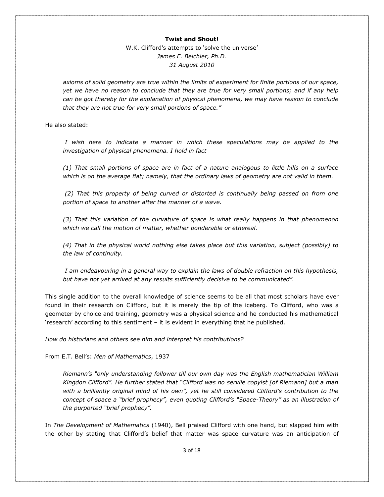W.K. Clifford's attempts to 'solve the universe' *James E. Beichler, Ph.D. 31 August 2010* 

*axioms of solid geometry are true within the limits of experiment for finite portions of our space, yet we have no reason to conclude that they are true for very small portions; and if any help can be got thereby for the explanation of physical phenomena, we may have reason to conclude that they are not true for very small portions of space."*

He also stated:

*I* wish here to indicate a manner in which these speculations may be applied to the *investigation of physical phenomena. I hold in fact* 

*(1) That small portions of space are in fact of a nature analogous to little hills on a surface which is on the average flat; namely, that the ordinary laws of geometry are not valid in them.*

*(2) That this property of being curved or distorted is continually being passed on from one portion of space to another after the manner of a wave.* 

*(3) That this variation of the curvature of space is what really happens in that phenomenon which we call the motion of matter, whether ponderable or ethereal.* 

*(4) That in the physical world nothing else takes place but this variation, subject (possibly) to the law of continuity.*

*I am endeavouring in a general way to explain the laws of double refraction on this hypothesis, but have not yet arrived at any results sufficiently decisive to be communicated".* 

This single addition to the overall knowledge of science seems to be all that most scholars have ever found in their research on Clifford, but it is merely the tip of the iceberg. To Clifford, who was a geometer by choice and training, geometry was a physical science and he conducted his mathematical 'research' according to this sentiment – it is evident in everything that he published.

*How do historians and others see him and interpret his contributions?*

From E.T. Bell's: *Men of Mathematics*, 1937

*Riemann's "only understanding follower till our own day was the English mathematician William Kingdon Clifford". He further stated that "Clifford was no servile copyist [of Riemann] but a man with a brilliantly original mind of his own", yet he still considered Clifford's contribution to the concept of space a "brief prophecy", even quoting Clifford's "Space-Theory" as an illustration of the purported "brief prophecy".* 

In *The Development of Mathematics* (1940), Bell praised Clifford with one hand, but slapped him with the other by stating that Clifford's belief that matter was space curvature was an anticipation of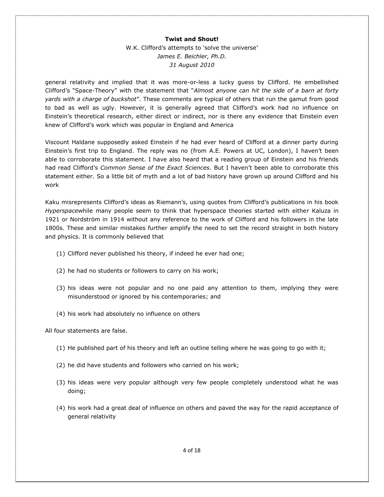W.K. Clifford's attempts to 'solve the universe' *James E. Beichler, Ph.D. 31 August 2010* 

general relativity and implied that it was more-or-less a lucky guess by Clifford. He embellished Clifford's "Space-Theory" with the statement that "*Almost anyone can hit the side of a barn at forty yards with a charge of buckshot*". These comments are typical of others that run the gamut from good to bad as well as ugly. However, it is generally agreed that Clifford's work had no influence on Einstein's theoretical research, either direct or indirect, nor is there any evidence that Einstein even knew of Clifford's work which was popular in England and America

Viscount Haldane supposedly asked Einstein if he had ever heard of Clifford at a dinner party during Einstein's first trip to England. The reply was no (from A.E. Powers at UC, London), I haven't been able to corroborate this statement. I have also heard that a reading group of Einstein and his friends had read Clifford's *Common Sense of the Exact Sciences.* But I haven't been able to corroborate this statement either. So a little bit of myth and a lot of bad history have grown up around Clifford and his work

Kaku misrepresents Clifford's ideas as Riemann's, using quotes from Clifford's publications in his book *Hyperspace*while many people seem to think that hyperspace theories started with either Kaluza in 1921 or Nordström in 1914 without any reference to the work of Clifford and his followers in the late 1800s. These and similar mistakes further amplify the need to set the record straight in both history and physics. It is commonly believed that

- (1) Clifford never published his theory, if indeed he ever had one;
- (2) he had no students or followers to carry on his work;
- (3) his ideas were not popular and no one paid any attention to them, implying they were misunderstood or ignored by his contemporaries; and
- (4) his work had absolutely no influence on others

All four statements are false.

- (1) He published part of his theory and left an outline telling where he was going to go with it;
- (2) he did have students and followers who carried on his work;
- (3) his ideas were very popular although very few people completely understood what he was doing;
- (4) his work had a great deal of influence on others and paved the way for the rapid acceptance of general relativity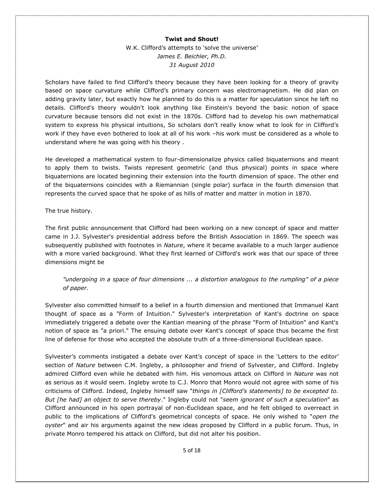W.K. Clifford's attempts to 'solve the universe' *James E. Beichler, Ph.D. 31 August 2010* 

Scholars have failed to find Clifford's theory because they have been looking for a theory of gravity based on space curvature while Clifford's primary concern was electromagnetism. He did plan on adding gravity later, but exactly how he planned to do this is a matter for speculation since he left no details. Clifford's theory wouldn't look anything like Einstein's beyond the basic notion of space curvature because tensors did not exist in the 1870s. Clifford had to develop his own mathematical system to express his physical intuitions, So scholars don't really know what to look for in Clifford's work if they have even bothered to look at all of his work –his work must be considered as a whole to understand where he was going with his theory .

He developed a mathematical system to four-dimensionalize physics called biquaternions and meant to apply them to twists. Twists represent geometric (and thus physical) points in space where biquaternions are located beginning their extension into the fourth dimension of space. The other end of the biquaternions coincides with a Riemannian (single polar) surface in the fourth dimension that represents the curved space that he spoke of as hills of matter and matter in motion in 1870.

The true history.

The first public announcement that Clifford had been working on a new concept of space and matter came in J.J. Sylvester's presidential address before the British Association in 1869. The speech was subsequently published with footnotes in *Nature*, where it became available to a much larger audience with a more varied background. What they first learned of Clifford's work was that our space of three dimensions might be

*"undergoing in a space of four dimensions ... a distortion analogous to the rumpling" of a piece of paper.* 

Sylvester also committed himself to a belief in a fourth dimension and mentioned that Immanuel Kant thought of space as a "Form of Intuition." Sylvester's interpretation of Kant's doctrine on space immediately triggered a debate over the Kantian meaning of the phrase "Form of Intuition" and Kant's notion of space as "a priori." The ensuing debate over Kant's concept of space thus became the first line of defense for those who accepted the absolute truth of a three-dimensional Euclidean space.

Sylvester's comments instigated a debate over Kant's concept of space in the 'Letters to the editor' section of *Nature* between C.M. Ingleby, a philosopher and friend of Sylvester, and Clifford. Ingleby admired Clifford even while he debated with him. His venomous attack on Clifford in *Nature* was not as serious as it would seem. Ingleby wrote to C.J. Monro that Monro would not agree with some of his criticisms of Clifford. Indeed, Ingleby himself saw "*things in [Clifford's statements] to be excepted to. But [he had] an object to serve thereby*." Ingleby could not "*seem ignorant of such a speculation*" as Clifford announced in his open portrayal of non-Euclidean space, and he felt obliged to overreact in public to the implications of Clifford's geometrical concepts of space. He only wished to "*open the oyster*" and air his arguments against the new ideas proposed by Clifford in a public forum. Thus, in private Monro tempered his attack on Clifford, but did not alter his position.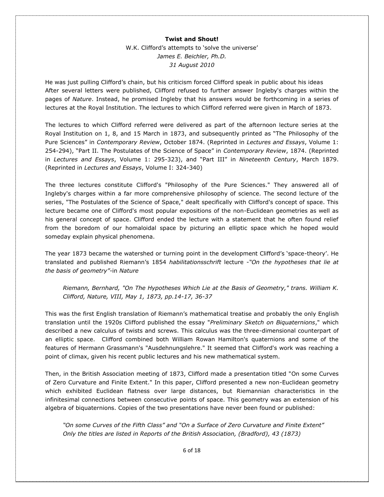W.K. Clifford's attempts to 'solve the universe' *James E. Beichler, Ph.D. 31 August 2010* 

He was just pulling Clifford's chain, but his criticism forced Clifford speak in public about his ideas After several letters were published, Clifford refused to further answer Ingleby's charges within the pages of *Nature*. Instead, he promised Ingleby that his answers would be forthcoming in a series of lectures at the Royal Institution. The lectures to which Clifford referred were given in March of 1873.

The lectures to which Clifford referred were delivered as part of the afternoon lecture series at the Royal Institution on 1, 8, and 15 March in 1873, and subsequently printed as "The Philosophy of the Pure Sciences" in *Contemporary Review*, October 1874. (Reprinted in *Lectures and Essays*, Volume 1: 254-294), "Part II. The Postulates of the Science of Space" in *Contemporary Review*, 1874. (Reprinted in *Lectures and Essays*, Volume 1: 295-323), and "Part III" in *Nineteenth Century*, March 1879. (Reprinted in *Lectures and Essays*, Volume I: 324-340)

The three lectures constitute Clifford's "Philosophy of the Pure Sciences." They answered all of Ingleby's charges within a far more comprehensive philosophy of science. The second lecture of the series, "The Postulates of the Science of Space," dealt specifically with Clifford's concept of space. This lecture became one of Clifford's most popular expositions of the non-Euclidean geometries as well as his general concept of space. Clifford ended the lecture with a statement that he often found relief from the boredom of our homaloidal space by picturing an elliptic space which he hoped would someday explain physical phenomena.

The year 1873 became the watershed or turning point in the development Clifford's 'space-theory'. He translated and published Riemann's 1854 *habilitationsschrift* lecture -*"On the hypotheses that lie at the basis of geometry"-*in *Nature*

*Riemann, Bernhard, "On The Hypotheses Which Lie at the Basis of Geometry," trans. William K. Clifford, Nature, VIII, May 1, 1873, pp.14-17, 36-37* 

This was the first English translation of Riemann's mathematical treatise and probably the only English translation until the 1920s Clifford published the essay "*Preliminary Sketch on Biquaternions*," which described a new calculus of twists and screws. This calculus was the three-dimensional counterpart of an elliptic space. Clifford combined both William Rowan Hamilton's quaternions and some of the features of Hermann Grassmann's "Ausdehnungslehre." It seemed that Clifford's work was reaching a point of climax, given his recent public lectures and his new mathematical system.

Then, in the British Association meeting of 1873, Clifford made a presentation titled "On some Curves of Zero Curvature and Finite Extent." In this paper, Clifford presented a new non-Euclidean geometry which exhibited Euclidean flatness over large distances, but Riemannian characteristics in the infinitesimal connections between consecutive points of space. This geometry was an extension of his algebra of biquaternions. Copies of the two presentations have never been found or published:

*"On some Curves of the Fifth Class" and "On a Surface of Zero Curvature and Finite Extent" Only the titles are listed in Reports of the British Association, (Bradford), 43 (1873)*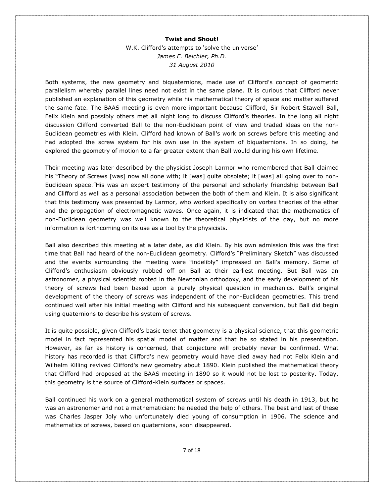W.K. Clifford's attempts to 'solve the universe' *James E. Beichler, Ph.D. 31 August 2010* 

Both systems, the new geometry and biquaternions, made use of Clifford's concept of geometric parallelism whereby parallel lines need not exist in the same plane*.* It is curious that Clifford never published an explanation of this geometry while his mathematical theory of space and matter suffered the same fate. The BAAS meeting is even more important because Clifford, Sir Robert Stawell Ball, Felix Klein and possibly others met all night long to discuss Clifford's theories. In the long all night discussion Clifford converted Ball to the non-Euclidean point of view and traded ideas on the non-Euclidean geometries with Klein. Clifford had known of Ball's work on screws before this meeting and had adopted the screw system for his own use in the system of biquaternions. In so doing, he explored the geometry of motion to a far greater extent than Ball would during his own lifetime.

Their meeting was later described by the physicist Joseph Larmor who remembered that Ball claimed his "Theory of Screws [was] now all done with; it [was] quite obsolete; it [was] all going over to non-Euclidean space."His was an expert testimony of the personal and scholarly friendship between Ball and Clifford as well as a personal association between the both of them and Klein. It is also significant that this testimony was presented by Larmor, who worked specifically on vortex theories of the ether and the propagation of electromagnetic waves. Once again, it is indicated that the mathematics of non-Euclidean geometry was well known to the theoretical physicists of the day, but no more information is forthcoming on its use as a tool by the physicists.

Ball also described this meeting at a later date, as did Klein. By his own admission this was the first time that Ball had heard of the non-Euclidean geometry. Clifford's "Preliminary Sketch" was discussed and the events surrounding the meeting were "indelibly" impressed on Ball's memory. Some of Clifford's enthusiasm obviously rubbed off on Ball at their earliest meeting. But Ball was an astronomer, a physical scientist rooted in the Newtonian orthodoxy, and the early development of his theory of screws had been based upon a purely physical question in mechanics. Ball's original development of the theory of screws was independent of the non-Euclidean geometries. This trend continued well after his initial meeting with Clifford and his subsequent conversion, but Ball did begin using quaternions to describe his system of screws.

It is quite possible, given Clifford's basic tenet that geometry is a physical science, that this geometric model in fact represented his spatial model of matter and that he so stated in his presentation. However, as far as history is concerned, that conjecture will probably never be confirmed. What history has recorded is that Clifford's new geometry would have died away had not Felix Klein and Wilhelm Killing revived Clifford's new geometry about 1890. Klein published the mathematical theory that Clifford had proposed at the BAAS meeting in 1890 so it would not be lost to posterity. Today, this geometry is the source of Clifford-Klein surfaces or spaces.

Ball continued his work on a general mathematical system of screws until his death in 1913, but he was an astronomer and not a mathematician: he needed the help of others. The best and last of these was Charles Jasper Joly who unfortunately died young of consumption in 1906. The science and mathematics of screws, based on quaternions, soon disappeared.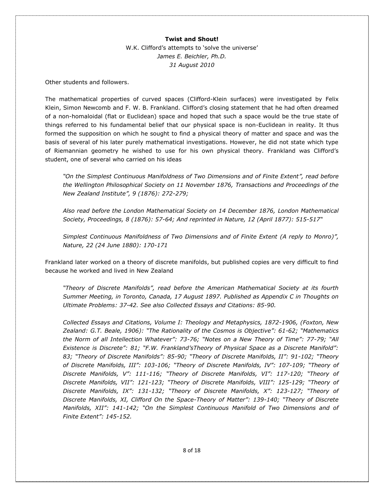W.K. Clifford's attempts to 'solve the universe' *James E. Beichler, Ph.D. 31 August 2010* 

Other students and followers.

The mathematical properties of curved spaces (Clifford-Klein surfaces) were investigated by Felix Klein, Simon Newcomb and F. W. B. Frankland. Clifford's closing statement that he had often dreamed of a non-homaloidal (flat or Euclidean) space and hoped that such a space would be the true state of things referred to his fundamental belief that our physical space is non-Euclidean in reality. It thus formed the supposition on which he sought to find a physical theory of matter and space and was the basis of several of his later purely mathematical investigations. However, he did not state which type of Riemannian geometry he wished to use for his own physical theory. Frankland was Clifford's student, one of several who carried on his ideas

*"On the Simplest Continuous Manifoldness of Two Dimensions and of Finite Extent", read before the Wellington Philosophical Society on 11 November 1876, Transactions and Proceedings of the New Zealand Institute", 9 (1876): 272-279;*

*Also read before the London Mathematical Society on 14 December 1876, London Mathematical Society, Proceedings, 8 (1876): 57-64; And reprinted in Nature, 12 (April 1877): 515-517"*

*Simplest Continuous Manifoldness of Two Dimensions and of Finite Extent (A reply to Monro)", Nature, 22 (24 June 1880): 170-171*

Frankland later worked on a theory of discrete manifolds, but published copies are very difficult to find because he worked and lived in New Zealand

*"Theory of Discrete Manifolds", read before the American Mathematical Society at its fourth Summer Meeting, in Toronto, Canada, 17 August 1897. Published as Appendix C in Thoughts on Ultimate Problems: 37-42. See also Collected Essays and Citations: 85-90.* 

*Collected Essays and Citations, Volume I: Theology and Metaphysics, 1872-1906, (Foxton, New Zealand: G.T. Beale, 1906): "The Rationality of the Cosmos is Objective": 61-62; "Mathematics the Norm of all Intellection Whatever": 73-76; "Notes on a New Theory of Time": 77-79; "All Existence is Discrete": 81; "F.W. Frankland'sTheory of Physical Space as a Discrete Manifold": 83; "Theory of Discrete Manifolds": 85-90; "Theory of Discrete Manifolds, II": 91-102; "Theory of Discrete Manifolds, III": 103-106; "Theory of Discrete Manifolds, IV": 107-109; "Theory of Discrete Manifolds, V": 111-116; "Theory of Discrete Manifolds, VI": 117-120; "Theory of Discrete Manifolds, VII": 121-123; "Theory of Discrete Manifolds, VIII": 125-129; "Theory of Discrete Manifolds, IX": 131-132; "Theory of Discrete Manifolds, X": 123-127; "Theory of Discrete Manifolds, XI, Clifford On the Space-Theory of Matter": 139-140; "Theory of Discrete Manifolds, XII": 141-142; "On the Simplest Continuous Manifold of Two Dimensions and of Finite Extent": 145-152.*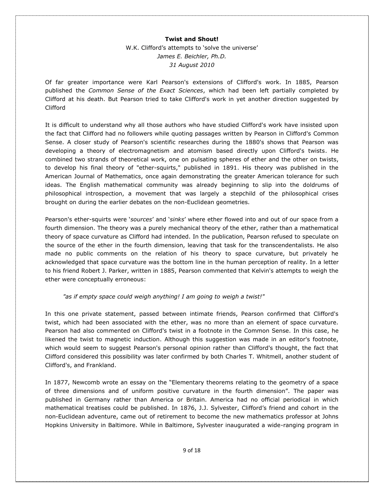W.K. Clifford's attempts to 'solve the universe' *James E. Beichler, Ph.D. 31 August 2010* 

Of far greater importance were Karl Pearson's extensions of Clifford's work. In 1885, Pearson published the *Common Sense of the Exact Sciences*, which had been left partially completed by Clifford at his death. But Pearson tried to take Clifford's work in yet another direction suggested by Clifford

It is difficult to understand why all those authors who have studied Clifford's work have insisted upon the fact that Clifford had no followers while quoting passages written by Pearson in Clifford's Common Sense. A closer study of Pearson's scientific researches during the 1880's shows that Pearson was developing a theory of electromagnetism and atomism based directly upon Clifford's twists. He combined two strands of theoretical work, one on pulsating spheres of ether and the other on twists, to develop his final theory of "ether-squirts," published in 1891. His theory was published in the American Journal of Mathematics, once again demonstrating the greater American tolerance for such ideas. The English mathematical community was already beginning to slip into the doldrums of philosophical introspection, a movement that was largely a stepchild of the philosophical crises brought on during the earlier debates on the non-Euclidean geometries.

Pearson's ether-squirts were '*sources*' and '*sinks*' where ether flowed into and out of our space from a fourth dimension. The theory was a purely mechanical theory of the ether, rather than a mathematical theory of space curvature as Clifford had intended. In the publication, Pearson refused to speculate on the source of the ether in the fourth dimension, leaving that task for the transcendentalists. He also made no public comments on the relation of his theory to space curvature, but privately he acknowledged that space curvature was the bottom line in the human perception of reality. In a letter to his friend Robert J. Parker, written in 1885, Pearson commented that Kelvin's attempts to weigh the ether were conceptually erroneous:

# *"as if empty space could weigh anything! I am going to weigh a twist!"*

In this one private statement, passed between intimate friends, Pearson confirmed that Clifford's twist, which had been associated with the ether, was no more than an element of space curvature. Pearson had also commented on Clifford's twist in a footnote in the Common Sense. In this case, he likened the twist to magnetic induction. Although this suggestion was made in an editor's footnote, which would seem to suggest Pearson's personal opinion rather than Clifford's thought, the fact that Clifford considered this possibility was later confirmed by both Charles T. Whitmell, another student of Clifford's, and Frankland.

In 1877, Newcomb wrote an essay on the "Elementary theorems relating to the geometry of a space of three dimensions and of uniform positive curvature in the fourth dimension". The paper was published in Germany rather than America or Britain. America had no official periodical in which mathematical treatises could be published. In 1876, J.J. Sylvester, Clifford's friend and cohort in the non-Euclidean adventure, came out of retirement to become the new mathematics professor at Johns Hopkins University in Baltimore. While in Baltimore, Sylvester inaugurated a wide-ranging program in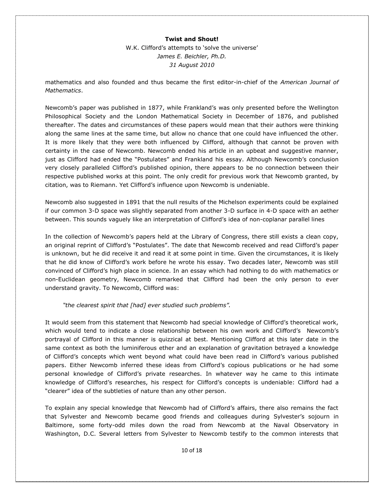W.K. Clifford's attempts to 'solve the universe' *James E. Beichler, Ph.D. 31 August 2010* 

mathematics and also founded and thus became the first editor-in-chief of the *American Journal of Mathematics*.

Newcomb's paper was published in 1877, while Frankland's was only presented before the Wellington Philosophical Society and the London Mathematical Society in December of 1876, and published thereafter. The dates and circumstances of these papers would mean that their authors were thinking along the same lines at the same time, but allow no chance that one could have influenced the other. It is more likely that they were both influenced by Clifford, although that cannot be proven with certainty in the case of Newcomb. Newcomb ended his article in an upbeat and suggestive manner, just as Clifford had ended the "Postulates" and Frankland his essay. Although Newcomb's conclusion very closely paralleled Clifford's published opinion, there appears to be no connection between their respective published works at this point. The only credit for previous work that Newcomb granted, by citation, was to Riemann. Yet Clifford's influence upon Newcomb is undeniable.

Newcomb also suggested in 1891 that the null results of the Michelson experiments could be explained if our common 3-D space was slightly separated from another 3-D surface in 4-D space with an aether between. This sounds vaguely like an interpretation of Clifford's idea of non-coplanar parallel lines

In the collection of Newcomb's papers held at the Library of Congress, there still exists a clean copy, an original reprint of Clifford's "Postulates". The date that Newcomb received and read Clifford's paper is unknown, but he did receive it and read it at some point in time. Given the circumstances, it is likely that he did know of Clifford's work before he wrote his essay. Two decades later, Newcomb was still convinced of Clifford's high place in science. In an essay which had nothing to do with mathematics or non-Euclidean geometry, Newcomb remarked that Clifford had been the only person to ever understand gravity. To Newcomb, Clifford was:

*"the clearest spirit that [had] ever studied such problems".*

It would seem from this statement that Newcomb had special knowledge of Clifford's theoretical work, which would tend to indicate a close relationship between his own work and Clifford's Newcomb's portrayal of Clifford in this manner is quizzical at best. Mentioning Clifford at this later date in the same context as both the luminiferous ether and an explanation of gravitation betrayed a knowledge of Clifford's concepts which went beyond what could have been read in Clifford's various published papers. Either Newcomb inferred these ideas from Clifford's copious publications or he had some personal knowledge of Clifford's private researches. In whatever way he came to this intimate knowledge of Clifford's researches, his respect for Clifford's concepts is undeniable: Clifford had a "clearer" idea of the subtleties of nature than any other person.

To explain any special knowledge that Newcomb had of Clifford's affairs, there also remains the fact that Sylvester and Newcomb became good friends and colleagues during Sylvester's sojourn in Baltimore, some forty-odd miles down the road from Newcomb at the Naval Observatory in Washington, D.C. Several letters from Sylvester to Newcomb testify to the common interests that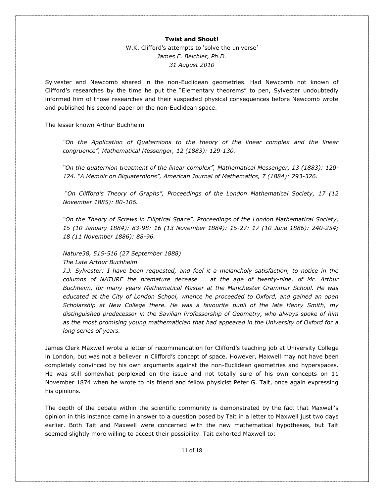W.K. Clifford's attempts to 'solve the universe' *James E. Beichler, Ph.D. 31 August 2010* 

Sylvester and Newcomb shared in the non-Euclidean geometries. Had Newcomb not known of Clifford's researches by the time he put the "Elementary theorems" to pen, Sylvester undoubtedly informed him of those researches and their suspected physical consequences before Newcomb wrote and published his second paper on the non-Euclidean space.

The lesser known Arthur Buchheim

*"On the Application of Quaternions to the theory of the linear complex and the linear congruence", Mathematical Messenger, 12 (1883): 129-130.* 

*"On the quaternion treatment of the linear complex", Mathematical Messenger, 13 (1883): 120- 124. "A Memoir on Biquaternions", American Journal of Mathematics, 7 (1884): 293-326.*

*"On Clifford's Theory of Graphs", Proceedings of the London Mathematical Society, 17 (12 November 1885): 80-106.* 

*"On the Theory of Screws in Elliptical Space", Proceedings of the London Mathematical Society, 15 (10 January 1884): 83-98: 16 (13 November 1884): 15-27: 17 (10 June 1886): 240-254; 18 (11 November 1886): 88-96.* 

# *Nature38, 515-516 (27 September 1888)*

*The Late Arthur Buchheim*

*J.J. Sylvester: I have been requested, and feel it a melancholy satisfaction, to notice in the columns of NATURE the premature decease … at the age of twenty-nine, of Mr. Arthur Buchheim, for many years Mathematical Master at the Manchester Grammar School. He was educated at the City of London School, whence he proceeded to Oxford, and gained an open Scholarship at New College there. He was a favourite pupil of the late Henry Smith, my distinguished predecessor in the Savilian Professorship of Geometry, who always spoke of him as the most promising young mathematician that had appeared in the University of Oxford for a long series of years.* 

James Clerk Maxwell wrote a letter of recommendation for Clifford's teaching job at University College in London, but was not a believer in Clifford's concept of space. However, Maxwell may not have been completely convinced by his own arguments against the non-Euclidean geometries and hyperspaces. He was still somewhat perplexed on the issue and not totally sure of his own concepts on 11 November 1874 when he wrote to his friend and fellow physicist Peter G. Tait, once again expressing his opinions.

The depth of the debate within the scientific community is demonstrated by the fact that Maxwell's opinion in this instance came in answer to a question posed by Tait in a letter to Maxwell just two days earlier. Both Tait and Maxwell were concerned with the new mathematical hypotheses, but Tait seemed slightly more willing to accept their possibility. Tait exhorted Maxwell to: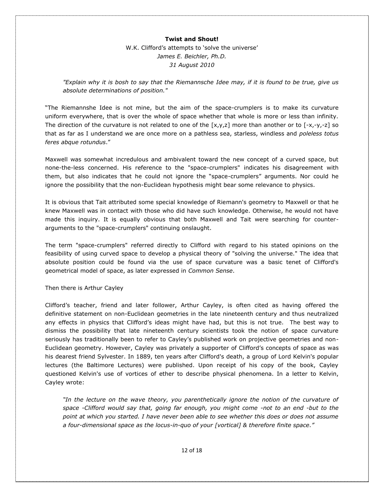W.K. Clifford's attempts to 'solve the universe' *James E. Beichler, Ph.D. 31 August 2010* 

*"Explain why it is bosh to say that the Riemannsche Idee may, if it is found to be true, give us absolute determinations of position."*

"The Riemannshe Idee is not mine, but the aim of the space-crumplers is to make its curvature uniform everywhere, that is over the whole of space whether that whole is more or less than infinity. The direction of the curvature is not related to one of the  $[x,y,z]$  more than another or to  $[-x,-y,-z]$  so that as far as I understand we are once more on a pathless sea, starless, windless and *poleless totus feres abque rotundus*."

Maxwell was somewhat incredulous and ambivalent toward the new concept of a curved space, but none-the-less concerned. His reference to the "space-crumplers" indicates his disagreement with them, but also indicates that he could not ignore the "space-crumplers" arguments. Nor could he ignore the possibility that the non-Euclidean hypothesis might bear some relevance to physics.

It is obvious that Tait attributed some special knowledge of Riemann's geometry to Maxwell or that he knew Maxwell was in contact with those who did have such knowledge. Otherwise, he would not have made this inquiry. It is equally obvious that both Maxwell and Tait were searching for counterarguments to the "space-crumplers" continuing onslaught.

The term "space-crumplers" referred directly to Clifford with regard to his stated opinions on the feasibility of using curved space to develop a physical theory of "solving the universe." The idea that absolute position could be found via the use of space curvature was a basic tenet of Clifford's geometrical model of space, as later expressed in *Common Sense*.

Then there is Arthur Cayley

Clifford's teacher, friend and later follower, Arthur Cayley, is often cited as having offered the definitive statement on non-Euclidean geometries in the late nineteenth century and thus neutralized any effects in physics that Clifford's ideas might have had, but this is not true. The best way to dismiss the possibility that late nineteenth century scientists took the notion of space curvature seriously has traditionally been to refer to Cayley's published work on projective geometries and non-Euclidean geometry. However, Cayley was privately a supporter of Clifford's concepts of space as was his dearest friend Sylvester. In 1889, ten years after Clifford's death, a group of Lord Kelvin's popular lectures (the Baltimore Lectures) were published. Upon receipt of his copy of the book, Cayley questioned Kelvin's use of vortices of ether to describe physical phenomena. In a letter to Kelvin, Cayley wrote:

*"In the lecture on the wave theory, you parenthetically ignore the notion of the curvature of space -Clifford would say that, going far enough, you might come -not to an end -but to the point at which you started. I have never been able to see whether this does or does not assume a four-dimensional space as the locus-in-quo of your [vortical] & therefore finite space."*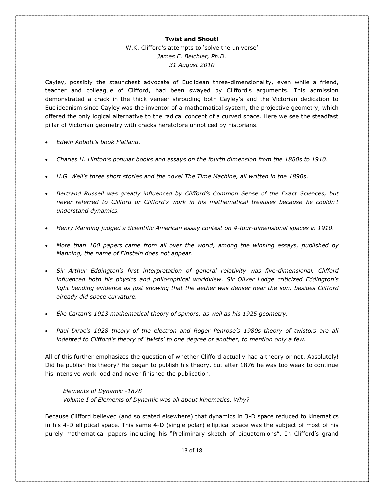W.K. Clifford's attempts to 'solve the universe' *James E. Beichler, Ph.D. 31 August 2010* 

Cayley, possibly the staunchest advocate of Euclidean three-dimensionality, even while a friend, teacher and colleague of Clifford, had been swayed by Clifford's arguments. This admission demonstrated a crack in the thick veneer shrouding both Cayley's and the Victorian dedication to Euclideanism since Cayley was the inventor of a mathematical system, the projective geometry, which offered the only logical alternative to the radical concept of a curved space. Here we see the steadfast pillar of Victorian geometry with cracks heretofore unnoticed by historians.

- *Edwin Abbott's book Flatland.*
- *Charles H. Hinton's popular books and essays on the fourth dimension from the 1880s to 1910.*
- *H.G. Well's three short stories and the novel The Time Machine, all written in the 1890s.*
- *Bertrand Russell was greatly influenced by Clifford's Common Sense of the Exact Sciences, but never referred to Clifford or Clifford's work in his mathematical treatises because he couldn't understand dynamics.*
- *Henry Manning judged a Scientific American essay contest on 4-four-dimensional spaces in 1910.*
- *More than 100 papers came from all over the world, among the winning essays, published by Manning, the name of Einstein does not appear.*
- *Sir Arthur Eddington's first interpretation of general relativity was five-dimensional. Clifford influenced both his physics and philosophical worldview. Sir Oliver Lodge criticized Eddington's*  light bending evidence as just showing that the aether was denser near the sun, besides Clifford *already did space curvature.*
- *Élie Cartan's 1913 mathematical theory of spinors, as well as his 1925 geometry.*
- *Paul Dirac's 1928 theory of the electron and Roger Penrose's 1980s theory of twistors are all indebted to Clifford's theory of 'twists' to one degree or another, to mention only a few.*

All of this further emphasizes the question of whether Clifford actually had a theory or not. Absolutely! Did he publish his theory? He began to publish his theory, but after 1876 he was too weak to continue his intensive work load and never finished the publication.

*Elements of Dynamic -1878 Volume I of Elements of Dynamic was all about kinematics. Why?*

Because Clifford believed (and so stated elsewhere) that dynamics in 3-D space reduced to kinematics in his 4-D elliptical space. This same 4-D (single polar) elliptical space was the subject of most of his purely mathematical papers including his "Preliminary sketch of biquaternions". In Clifford's grand

13 of 18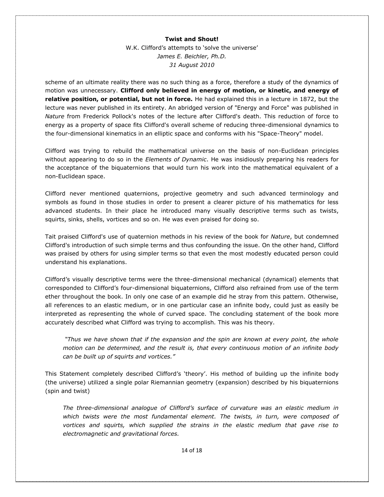W.K. Clifford's attempts to 'solve the universe' *James E. Beichler, Ph.D. 31 August 2010* 

scheme of an ultimate reality there was no such thing as a force, therefore a study of the dynamics of motion was unnecessary. **Clifford only believed in energy of motion, or kinetic, and energy of relative position, or potential, but not in force.** He had explained this in a lecture in 1872, but the lecture was never published in its entirety. An abridged version of "Energy and Force" was published in *Nature* from Frederick Pollock's notes of the lecture after Clifford's death. This reduction of force to energy as a property of space fits Clifford's overall scheme of reducing three-dimensional dynamics to the four-dimensional kinematics in an elliptic space and conforms with his "Space-Theory" model.

Clifford was trying to rebuild the mathematical universe on the basis of non-Euclidean principles without appearing to do so in the *Elements of Dynamic*. He was insidiously preparing his readers for the acceptance of the biquaternions that would turn his work into the mathematical equivalent of a non-Euclidean space.

Clifford never mentioned quaternions, projective geometry and such advanced terminology and symbols as found in those studies in order to present a clearer picture of his mathematics for less advanced students. In their place he introduced many visually descriptive terms such as twists, squirts, sinks, shells, vortices and so on. He was even praised for doing so.

Tait praised Clifford's use of quaternion methods in his review of the book for *Nature*, but condemned Clifford's introduction of such simple terms and thus confounding the issue. On the other hand, Clifford was praised by others for using simpler terms so that even the most modestly educated person could understand his explanations.

Clifford's visually descriptive terms were the three-dimensional mechanical (dynamical) elements that corresponded to Clifford's four-dimensional biquaternions, Clifford also refrained from use of the term ether throughout the book. In only one case of an example did he stray from this pattern. Otherwise, all references to an elastic medium, or in one particular case an infinite body, could just as easily be interpreted as representing the whole of curved space. The concluding statement of the book more accurately described what Clifford was trying to accomplish. This was his theory.

*"Thus we have shown that if the expansion and the spin are known at every point, the whole motion can be determined, and the result is, that every continuous motion of an infinite body can be built up of squirts and vortices."*

This Statement completely described Clifford's 'theory'. His method of building up the infinite body (the universe) utilized a single polar Riemannian geometry (expansion) described by his biquaternions (spin and twist)

*The three-dimensional analogue of Clifford's surface of curvature was an elastic medium in which twists were the most fundamental element. The twists, in turn, were composed of vortices and squirts, which supplied the strains in the elastic medium that gave rise to electromagnetic and gravitational forces.*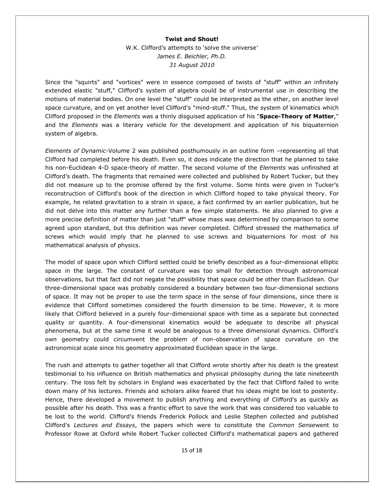W.K. Clifford's attempts to 'solve the universe' *James E. Beichler, Ph.D. 31 August 2010* 

Since the "squirts" and "vortices" were in essence composed of twists of "stuff" within an infinitely extended elastic "stuff," Clifford's system of algebra could be of instrumental use in describing the motions of material bodies. On one level the "stuff" could be interpreted as the ether, on another level space curvature, and on yet another level Clifford's "mind-stuff." Thus, the system of kinematics which Clifford proposed in the *Elements* was a thinly disguised application of his "**Space-Theory of Matter**," and the *Elements* was a literary vehicle for the development and application of his biquaternion system of algebra.

*Elements of Dynamic-*Volume 2 was published posthumously in an outline form –representing all that Clifford had completed before his death. Even so, it does indicate the direction that he planned to take his non-Euclidean 4-D space-theory of matter. The second volume of the *Elements* was unfinished at Clifford's death. The fragments that remained were collected and published by Robert Tucker, but they did not measure up to the promise offered by the first volume. Some hints were given in Tucker's reconstruction of Clifford's book of the direction in which Clifford hoped to take physical theory. For example, he related gravitation to a strain in space, a fact confirmed by an earlier publication, but he did not delve into this matter any further than a few simple statements. He also planned to give a more precise definition of matter than just "stuff" whose mass was determined by comparison to some agreed upon standard, but this definition was never completed. Clifford stressed the mathematics of screws which would imply that he planned to use screws and biquaternions for most of his mathematical analysis of physics.

The model of space upon which Clifford settled could be briefly described as a four-dimensional elliptic space in the large. The constant of curvature was too small for detection through astronomical observations, but that fact did not negate the possibility that space could be other than Euclidean. Our three-dimensional space was probably considered a boundary between two four-dimensional sections of space. It may not be proper to use the term space in the sense of four dimensions, since there is evidence that Clifford sometimes considered the fourth dimension to be time. However, it is more likely that Clifford believed in a purely four-dimensional space with time as a separate but connected quality or quantity. A four-dimensional kinematics would be adequate to describe all physical phenomena, but at the same time it would be analogous to a three dimensional dynamics. Clifford's own geometry could circumvent the problem of non-observation of space curvature on the astronomical scale since his geometry approximated Euclidean space in the large.

The rush and attempts to gather together all that Clifford wrote shortly after his death is the greatest testimonial to his influence on British mathematics and physical philosophy during the late nineteenth century. The loss felt by scholars in England was exacerbated by the fact that Clifford failed to write down many of his lectures. Friends and scholars alike feared that his ideas might be lost to posterity. Hence, there developed a movement to publish anything and everything of Clifford's as quickly as possible after his death. This was a frantic effort to save the work that was considered too valuable to be lost to the world. Clifford's friends Frederick Pollock and Leslie Stephen collected and published Clifford's *Lectures and Essays*, the papers which were to constitute the *Common Sense*went to Professor Rowe at Oxford while Robert Tucker collected Clifford's mathematical papers and gathered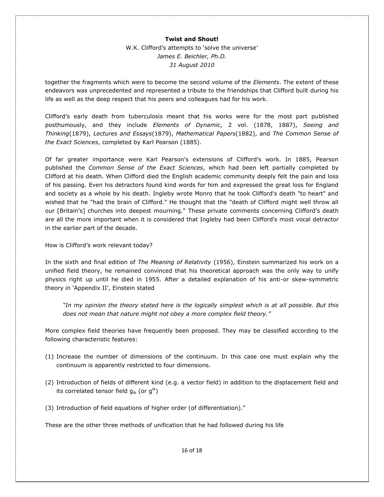W.K. Clifford's attempts to 'solve the universe' *James E. Beichler, Ph.D. 31 August 2010* 

together the fragments which were to become the second volume of the *Elements*. The extent of these endeavors was unprecedented and represented a tribute to the friendships that Clifford built during his life as well as the deep respect that his peers and colleagues had for his work.

Clifford's early death from tuberculosis meant that his works were for the most part published posthumously, and they include *Elements of Dynamic*, 2 vol. (1878, 1887), *Seeing and Thinking*(1879), *Lectures and Essays*(1879), *Mathematical Papers*(1882), and *The Common Sense of the Exact Sciences*, completed by Karl Pearson (1885).

Of far greater importance were Karl Pearson's extensions of Clifford's work. In 1885, Pearson published the *Common Sense of the Exact Sciences*, which had been left partially completed by Clifford at his death. When Clifford died the English academic community deeply felt the pain and loss of his passing. Even his detractors found kind words for him and expressed the great loss for England and society as a whole by his death. Ingleby wrote Monro that he took Clifford's death "to heart" and wished that he "had the brain of Clifford." He thought that the "death of Clifford might well throw all our [Britain's] churches into deepest mourning." These private comments concerning Clifford's death are all the more important when it is considered that Ingleby had been Clifford's most vocal detractor in the earlier part of the decade.

How is Clifford's work relevant today?

In the sixth and final edition of *The Meaning of Relativity* (1956), Einstein summarized his work on a unified field theory, he remained convinced that his theoretical approach was the only way to unify physics right up until he died in 1955. After a detailed explanation of his anti-or skew-symmetric theory in 'Appendix II', Einstein stated

*"In my opinion the theory stated here is the logically simplest which is at all possible. But this does not mean that nature might not obey a more complex field theory."* 

More complex field theories have frequently been proposed. They may be classified according to the following characteristic features:

- (1) Increase the number of dimensions of the continuum. In this case one must explain why the continuum is apparently restricted to four dimensions.
- (2) Introduction of fields of different kind (e.g. a vector field) in addition to the displacement field and its correlated tensor field  $g_{ik}$  (or  $g^{ik}$ )
- (3) Introduction of field equations of higher order (of differentiation)."

These are the other three methods of unification that he had followed during his life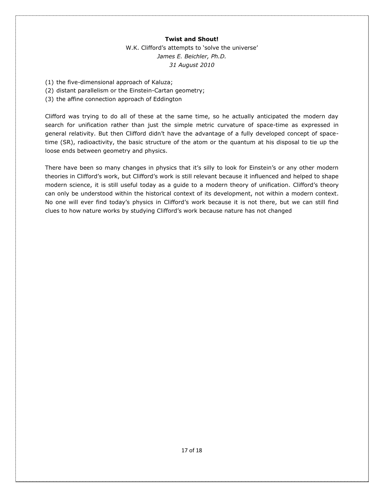W.K. Clifford's attempts to 'solve the universe' *James E. Beichler, Ph.D. 31 August 2010* 

- (1) the five-dimensional approach of Kaluza;
- (2) distant parallelism or the Einstein-Cartan geometry;
- (3) the affine connection approach of Eddington

Clifford was trying to do all of these at the same time, so he actually anticipated the modern day search for unification rather than just the simple metric curvature of space-time as expressed in general relativity. But then Clifford didn't have the advantage of a fully developed concept of spacetime (SR), radioactivity, the basic structure of the atom or the quantum at his disposal to tie up the loose ends between geometry and physics.

There have been so many changes in physics that it's silly to look for Einstein's or any other modern theories in Clifford's work, but Clifford's work is still relevant because it influenced and helped to shape modern science, it is still useful today as a guide to a modern theory of unification. Clifford's theory can only be understood within the historical context of its development, not within a modern context. No one will ever find today's physics in Clifford's work because it is not there, but we can still find clues to how nature works by studying Clifford's work because nature has not changed